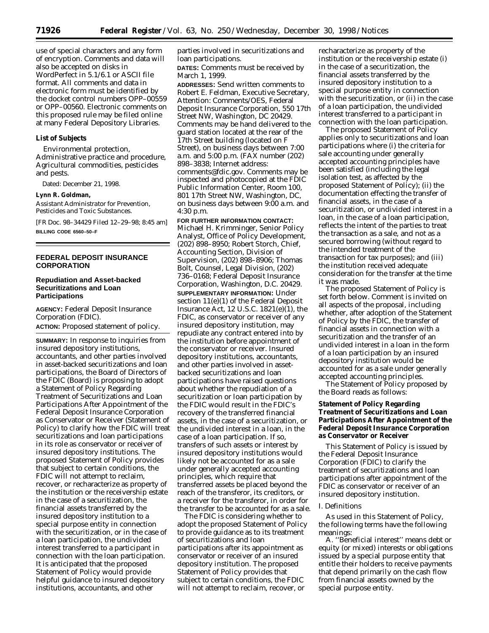use of special characters and any form of encryption. Comments and data will also be accepted on disks in WordPerfect in 5.1/6.1 or ASCII file format. All comments and data in electronic form must be identified by the docket control numbers OPP–00559 or OPP–00560. Electronic comments on this proposed rule may be filed online at many Federal Depository Libraries.

#### **List of Subjects**

Environmental protection, Administrative practice and procedure, Agricultural commodities, pesticides and pests.

Dated: December 21, 1998.

#### **Lynn R. Goldman,**

*Assistant Administrator for Prevention, Pesticides and Toxic Substances.*

[FR Doc. 98–34429 Filed 12–29–98; 8:45 am] **BILLING CODE 6560–50–F**

# **FEDERAL DEPOSIT INSURANCE CORPORATION**

## **Repudiation and Asset-backed Securitizations and Loan Participations**

**AGENCY:** Federal Deposit Insurance Corporation (FDIC).

**ACTION:** Proposed statement of policy.

**SUMMARY:** In response to inquiries from insured depository institutions, accountants, and other parties involved in asset-backed securitizations and loan participations, the Board of Directors of the FDIC (Board) is proposing to adopt a Statement of Policy Regarding Treatment of Securitizations and Loan Participations After Appointment of the Federal Deposit Insurance Corporation as Conservator or Receiver (Statement of Policy) to clarify how the FDIC will treat securitizations and loan participations in its role as conservator or receiver of insured depository institutions. The proposed Statement of Policy provides that subject to certain conditions, the FDIC will not attempt to reclaim, recover, or recharacterize as property of the institution or the receivership estate in the case of a securitization, the financial assets transferred by the insured depository institution to a special purpose entity in connection with the securitization, or in the case of a loan participation, the undivided interest transferred to a participant in connection with the loan participation. It is anticipated that the proposed Statement of Policy would provide helpful guidance to insured depository institutions, accountants, and other

parties involved in securitizations and loan participations.

**DATES:** Comments must be received by March 1, 1999.

**ADDRESSES:** Send written comments to Robert E. Feldman, Executive Secretary, Attention: Comments/OES, Federal Deposit Insurance Corporation, 550 17th Street NW, Washington, DC 20429. Comments may be hand delivered to the guard station located at the rear of the 17th Street building (located on F Street), on business days between 7:00 a.m. and 5:00 p.m. (FAX number (202) 898–3838; Internet address: comments@fdic.gov. Comments may be inspected and photocopied at the FDIC Public Information Center, Room 100, 801 17th Street NW, Washington, DC, on business days between 9:00 a.m. and 4:30 p.m.

**FOR FURTHER INFORMATION CONTACT:** Michael H. Krimminger, Senior Policy Analyst, Office of Policy Development, (202) 898–8950; Robert Storch, Chief, Accounting Section, Division of Supervision, (202) 898–8906; Thomas Bolt, Counsel, Legal Division, (202) 736–0168; Federal Deposit Insurance Corporation, Washington, D.C. 20429. **SUPPLEMENTARY INFORMATION:** Under section 11(e)(1) of the Federal Deposit Insurance Act, 12 U.S.C. 1821(e)(1), the FDIC, as conservator or receiver of any insured depository institution, may repudiate any contract entered into by the institution before appointment of the conservator or receiver. Insured depository institutions, accountants, and other parties involved in assetbacked securitizations and loan participations have raised questions about whether the repudiation of a securitization or loan participation by the FDIC would result in the FDIC's recovery of the transferred financial assets, in the case of a securitization, or the undivided interest in a loan, in the case of a loan participation. If so, transfers of such assets or interest by insured depository institutions would likely not be accounted for as a sale under generally accepted accounting principles, which require that transferred assets be placed beyond the reach of the transferor, its creditors, or a receiver for the transferor, in order for the transfer to be accounted for as a sale.

The FDIC is considering whether to adopt the proposed Statement of Policy to provide guidance as to its treatment of securitizations and loan participations after its appointment as conservator or receiver of an insured depository institution. The proposed Statement of Policy provides that subject to certain conditions, the FDIC will not attempt to reclaim, recover, or

recharacterize as property of the institution or the receivership estate (i) in the case of a securitization, the financial assets transferred by the insured depository institution to a special purpose entity in connection with the securitization, or (ii) in the case of a loan participation, the undivided interest transferred to a participant in connection with the loan participation.

The proposed Statement of Policy applies only to securitizations and loan participations where (i) the criteria for sale accounting under generally accepted accounting principles have been satisfied (including the legal isolation test, as affected by the proposed Statement of Policy); (ii) the documentation effecting the transfer of financial assets, in the case of a securitization, or undivided interest in a loan, in the case of a loan participation, reflects the intent of the parties to treat the transaction as a sale, and not as a secured borrowing (without regard to the intended treatment of the transaction for tax purposes); and (iii) the institution received adequate consideration for the transfer at the time it was made.

The proposed Statement of Policy is set forth below. Comment is invited on all aspects of the proposal, including whether, after adoption of the Statement of Policy by the FDIC, the transfer of financial assets in connection with a securitization and the transfer of an undivided interest in a loan in the form of a loan participation by an insured depository institution would be accounted for as a sale under generally accepted accounting principles.

The Statement of Policy proposed by the Board reads as follows:

## **Statement of Policy Regarding Treatment of Securitizations and Loan Participations After Appointment of the Federal Deposit Insurance Corporation as Conservator or Receiver**

This Statement of Policy is issued by the Federal Deposit Insurance Corporation (FDIC) to clarify the treatment of securitizations and loan participations after appointment of the FDIC as conservator or receiver of an insured depository institution.

### *I. Definitions*

As used in this Statement of Policy, the following terms have the following meanings:

A. ''Beneficial interest'' means debt or equity (or mixed) interests or obligations issued by a special purpose entity that entitle their holders to receive payments that depend primarily on the cash flow from financial assets owned by the special purpose entity.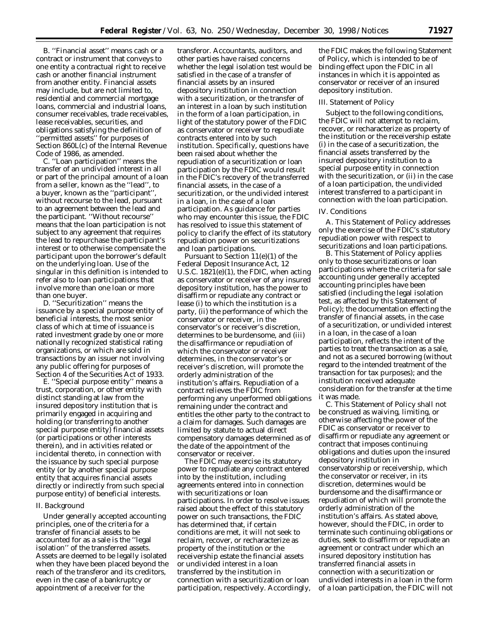B. ''Financial asset'' means cash or a contract or instrument that conveys to one entity a contractual right to receive cash or another financial instrument from another entity. Financial assets may include, but are not limited to, residential and commercial mortgage loans, commercial and industrial loans, consumer receivables, trade receivables, lease receivables, securities, and obligations satisfying the definition of ''permitted assets'' for purposes of Section 860L(c) of the Internal Revenue Code of 1986, as amended.

C. ''Loan participation'' means the transfer of an undivided interest in all or part of the principal amount of a loan from a seller, known as the ''lead'', to a buyer, known as the ''participant'', without recourse to the lead, pursuant to an agreement between the lead and the participant. ''Without recourse'' means that the loan participation is not subject to any agreement that requires the lead to repurchase the participant's interest or to otherwise compensate the participant upon the borrower's default on the underlying loan. Use of the singular in this definition is intended to refer also to loan participations that involve more than one loan or more than one buyer.

D. ''Securitization'' means the issuance by a special purpose entity of beneficial interests, the most senior class of which at time of issuance is rated investment grade by one or more nationally recognized statistical rating organizations, or which are sold in transactions by an issuer not involving any public offering for purposes of Section 4 of the Securities Act of 1933.

E. ''Special purpose entity'' means a trust, corporation, or other entity with distinct standing at law from the insured depository institution that is primarily engaged in acquiring and holding (or transferring to another special purpose entity) financial assets (or participations or other interests therein), and in activities related or incidental thereto, in connection with the issuance by such special purpose entity (or by another special purpose entity that acquires financial assets directly or indirectly from such special purpose entity) of beneficial interests.

#### *II. Background*

Under generally accepted accounting principles, one of the criteria for a transfer of financial assets to be accounted for as a sale is the ''legal isolation'' of the transferred assets. Assets are deemed to be legally isolated when they have been placed beyond the reach of the transferor and its creditors, even in the case of a bankruptcy or appointment of a receiver for the

transferor. Accountants, auditors, and other parties have raised concerns whether the legal isolation test would be satisfied in the case of a transfer of financial assets by an insured depository institution in connection with a securitization, or the transfer of an interest in a loan by such institution in the form of a loan participation, in light of the statutory power of the FDIC as conservator or receiver to repudiate contracts entered into by such institution. Specifically, questions have been raised about whether the repudiation of a securitization or loan participation by the FDIC would result in the FDIC's recovery of the transferred financial assets, in the case of a securitization, or the undivided interest in a loan, in the case of a loan participation. As guidance for parties who may encounter this issue, the FDIC has resolved to issue this statement of policy to clarify the effect of its statutory repudiation power on securitizations and loan participations.

Pursuant to Section 11(e)(1) of the Federal Deposit Insurance Act, 12 U.S.C.  $1821(e)(1)$ , the FDIC, when acting as conservator or receiver of any insured depository institution, has the power to disaffirm or repudiate any contract or lease (i) to which the institution is a party, (ii) the performance of which the conservator or receiver, in the conservator's or receiver's discretion, determines to be burdensome, and (iii) the disaffirmance or repudiation of which the conservator or receiver determines, in the conservator's or receiver's discretion, will promote the orderly administration of the institution's affairs. Repudiation of a contract relieves the FDIC from performing any unperformed obligations remaining under the contract and entitles the other party to the contract to a claim for damages. Such damages are limited by statute to actual direct compensatory damages determined as of the date of the appointment of the conservator or receiver.

The FDIC may exercise its statutory power to repudiate any contract entered into by the institution, including agreements entered into in connection with securitizations or loan participations. In order to resolve issues raised about the effect of this statutory power on such transactions, the FDIC has determined that, if certain conditions are met, it will not seek to reclaim, recover, or recharacterize as property of the institution or the receivership estate the financial assets or undivided interest in a loan transferred by the institution in connection with a securitization or loan participation, respectively. Accordingly,

the FDIC makes the following Statement of Policy, which is intended to be of binding effect upon the FDIC in all instances in which it is appointed as conservator or receiver of an insured depository institution.

#### *III. Statement of Policy*

Subject to the following conditions, the FDIC will not attempt to reclaim, recover, or recharacterize as property of the institution or the receivership estate (i) in the case of a securitization, the financial assets transferred by the insured depository institution to a special purpose entity in connection with the securitization, or (ii) in the case of a loan participation, the undivided interest transferred to a participant in connection with the loan participation.

#### *IV. Conditions*

A. This Statement of Policy addresses only the exercise of the FDIC's statutory repudiation power with respect to securitizations and loan participations.

B. This Statement of Policy applies only to those securitizations or loan participations where the criteria for sale accounting under generally accepted accounting principles have been satisfied (including the legal isolation test, as affected by this Statement of Policy); the documentation effecting the transfer of financial assets, in the case of a securitization, or undivided interest in a loan, in the case of a loan participation, reflects the intent of the parties to treat the transaction as a sale, and not as a secured borrowing (without regard to the intended treatment of the transaction for tax purposes); and the institution received adequate consideration for the transfer at the time it was made.

C. This Statement of Policy shall not be construed as waiving, limiting, or otherwise affecting the power of the FDIC as conservator or receiver to disaffirm or repudiate any agreement or contract that imposes continuing obligations and duties upon the insured depository institution in conservatorship or receivership, which the conservator or receiver, in its discretion, determines would be burdensome and the disaffirmance or repudiation of which will promote the orderly administration of the institution's affairs. As stated above, however, should the FDIC, in order to terminate such continuing obligations or duties, seek to disaffirm or repudiate an agreement or contract under which an insured depository institution has transferred financial assets in connection with a securitization or undivided interests in a loan in the form of a loan participation, the FDIC will not